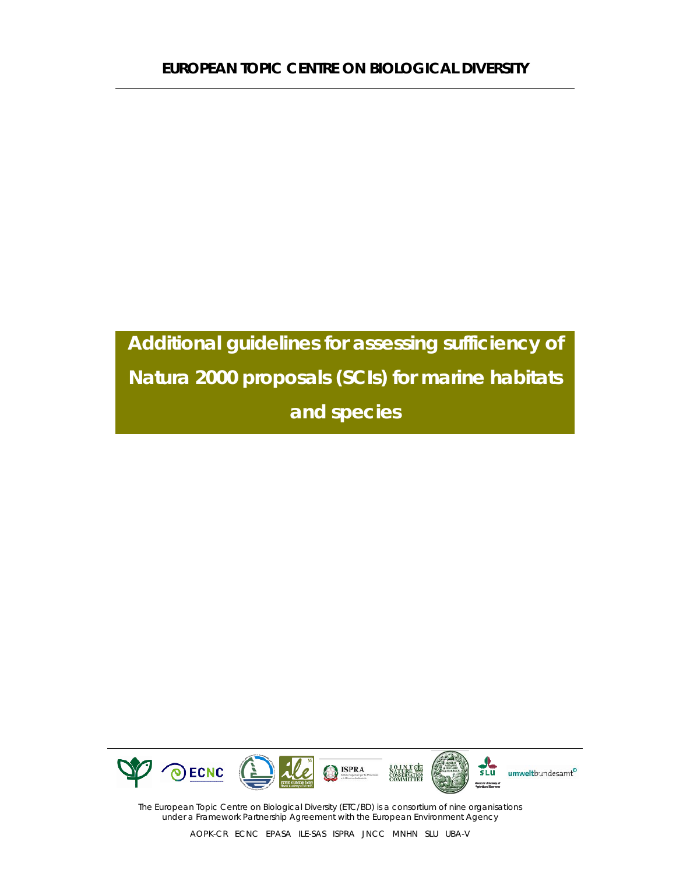

The European Topic Centre on Biological Diversity (ETC/BD) is a consortium of nine organisations under a Framework Partnership Agreement with the European Environment Agency

AOPK-CR ECNC EPASA ILE-SAS ISPRA JNCC MNHN SLU UBA-V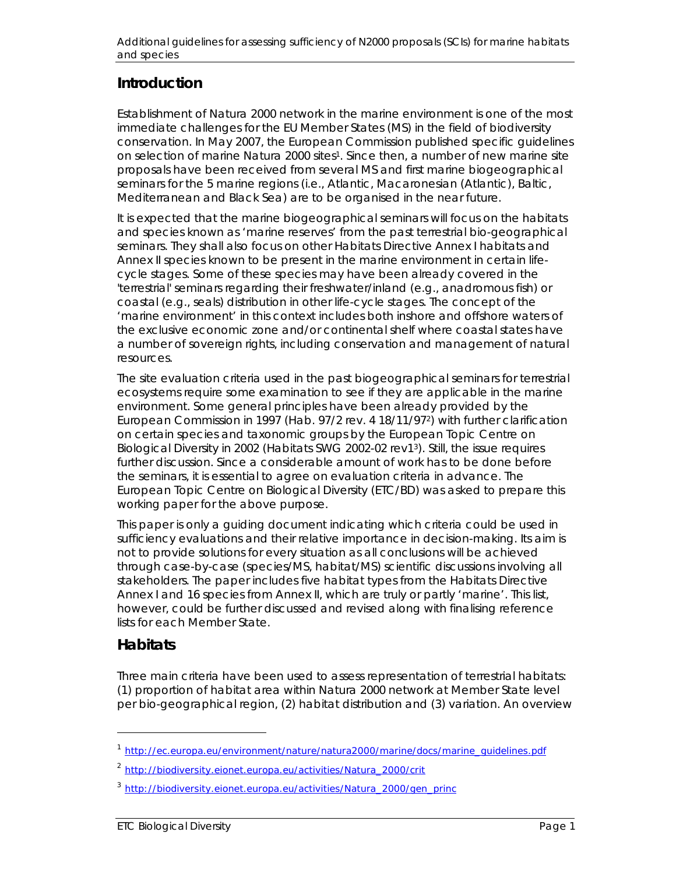## **Introduction**

Establishment of Natura 2000 network in the marine environment is one of the most immediate challenges for the EU Member States (MS) in the field of biodiversity conservation. In May 2007, the European Commission published specific guidelines on selection of marine Natura 2000 sites<sup>1</sup>. Since then, a number of new marine site proposals have been received from several MS and first marine biogeographical seminars for the 5 marine regions (i.e., Atlantic, Macaronesian (Atlantic), Baltic, Mediterranean and Black Sea) are to be organised in the near future.

It is expected that the marine biogeographical seminars will focus on the habitats and species known as 'marine reserves' from the past terrestrial bio-geographical seminars. They shall also focus on other Habitats Directive Annex I habitats and Annex II species known to be present in the marine environment in certain lifecycle stages. Some of these species may have been already covered in the 'terrestrial' seminars regarding their freshwater/inland (e.g., anadromous fish) or coastal (e.g., seals) distribution in other life-cycle stages. The concept of the 'marine environment' in this context includes both inshore and offshore waters of the exclusive economic zone and/or continental shelf where coastal states have a number of sovereign rights, including conservation and management of natural resources.

The site evaluation criteria used in the past biogeographical seminars for terrestrial ecosystems require some examination to see if they are applicable in the marine environment. Some general principles have been already provided by the European Commission in 1997 (Hab. 97/2 rev. 4 18/11/972) with further clarification on certain species and taxonomic groups by the European Topic Centre on Biological Diversity in 2002 (Habitats SWG 2002-02 rev13). Still, the issue requires further discussion. Since a considerable amount of work has to be done before the seminars, it is essential to agree on evaluation criteria in advance. The European Topic Centre on Biological Diversity (ETC/BD) was asked to prepare this working paper for the above purpose.

This paper is only a guiding document indicating which criteria could be used in sufficiency evaluations and their relative importance in decision-making. Its aim is not to provide solutions for every situation as all conclusions will be achieved through case-by-case (species/MS, habitat/MS) scientific discussions involving all stakeholders. The paper includes five habitat types from the Habitats Directive Annex I and 16 species from Annex II, which are truly or partly 'marine'. This list, however, could be further discussed and revised along with finalising reference lists for each Member State.

#### **Habitats**

l

Three main criteria have been used to assess representation of terrestrial habitats: (1) proportion of habitat area within Natura 2000 network at Member State level per bio-geographical region, (2) habitat distribution and (3) variation. An overview

<sup>1</sup> http://ec.europa.eu/environment/nature/natura2000/marine/docs/marine\_guidelines.pdf

<sup>2</sup> http://biodiversity.eionet.europa.eu/activities/Natura\_2000/crit

<sup>3</sup> http://biodiversity.eionet.europa.eu/activities/Natura\_2000/gen\_princ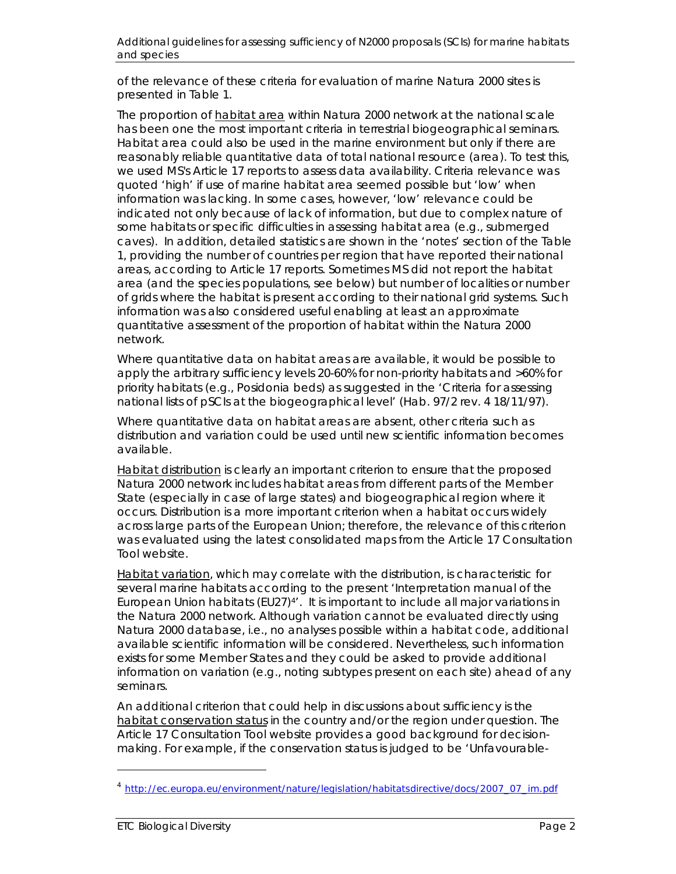of the relevance of these criteria for evaluation of marine Natura 2000 sites is presented in Table 1.

The proportion of habitat area within Natura 2000 network at the national scale has been one the most important criteria in terrestrial biogeographical seminars. Habitat area could also be used in the marine environment but only if there are reasonably reliable quantitative data of total national resource (area). To test this, we used MS's Article 17 reports to assess data availability. Criteria relevance was quoted 'high' if use of marine habitat area seemed possible but 'low' when information was lacking. In some cases, however, 'low' relevance could be indicated not only because of lack of information, but due to complex nature of some habitats or specific difficulties in assessing habitat area (e.g., submerged caves). In addition, detailed statistics are shown in the 'notes' section of the Table 1, providing the number of countries per region that have reported their national areas, according to Article 17 reports. Sometimes MS did not report the habitat area (and the species populations, see below) but number of localities or number of grids where the habitat is present according to their national grid systems. Such information was also considered useful enabling at least an approximate quantitative assessment of the proportion of habitat within the Natura 2000 network.

Where quantitative data on habitat areas are available, it would be possible to apply the arbitrary sufficiency levels 20-60% for non-priority habitats and >60% for priority habitats (e.g., *Posidonia* beds) as suggested in the 'Criteria for assessing national lists of pSCIs at the biogeographical level' (Hab. 97/2 rev. 4 18/11/97).

Where quantitative data on habitat areas are absent, other criteria such as distribution and variation could be used until new scientific information becomes available.

Habitat distribution is clearly an important criterion to ensure that the proposed Natura 2000 network includes habitat areas from different parts of the Member State (especially in case of large states) and biogeographical region where it occurs. Distribution is a more important criterion when a habitat occurs widely across large parts of the European Union; therefore, the relevance of this criterion was evaluated using the latest consolidated maps from the Article 17 Consultation Tool website.

Habitat variation, which may correlate with the distribution, is characteristic for several marine habitats according to the present 'Interpretation manual of the European Union habitats (EU27) $4'$ . It is important to include all major variations in the Natura 2000 network. Although variation cannot be evaluated directly using Natura 2000 database, i.e., no analyses possible within a habitat code, additional available scientific information will be considered. Nevertheless, such information exists for some Member States and they could be asked to provide additional information on variation (e.g., noting subtypes present on each site) ahead of any seminars.

An additional criterion that could help in discussions about sufficiency is the habitat conservation status in the country and/or the region under question. The Article 17 Consultation Tool website provides a good background for decisionmaking. For example, if the conservation status is judged to be 'Unfavourable-

l

<sup>4</sup> http://ec.europa.eu/environment/nature/legislation/habitatsdirective/docs/2007\_07\_im.pdf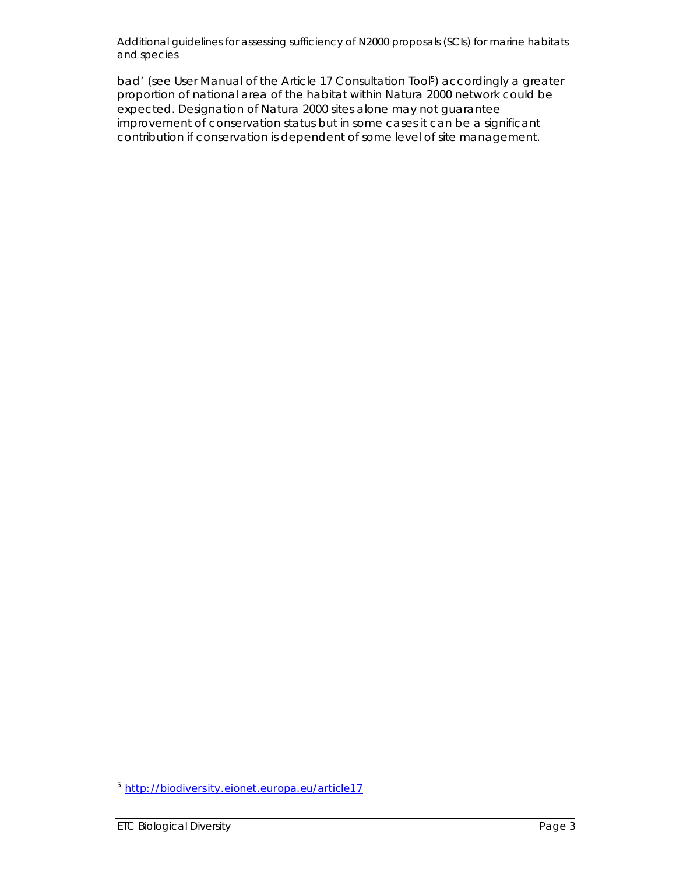bad' (see User Manual of the Article 17 Consultation Tool<sup>5</sup>) accordingly a greater proportion of national area of the habitat within Natura 2000 network could be expected. Designation of Natura 2000 sites alone may not guarantee improvement of conservation status but in some cases it can be a significant contribution if conservation is dependent of some level of site management.

l

<sup>5</sup> http://biodiversity.eionet.europa.eu/article17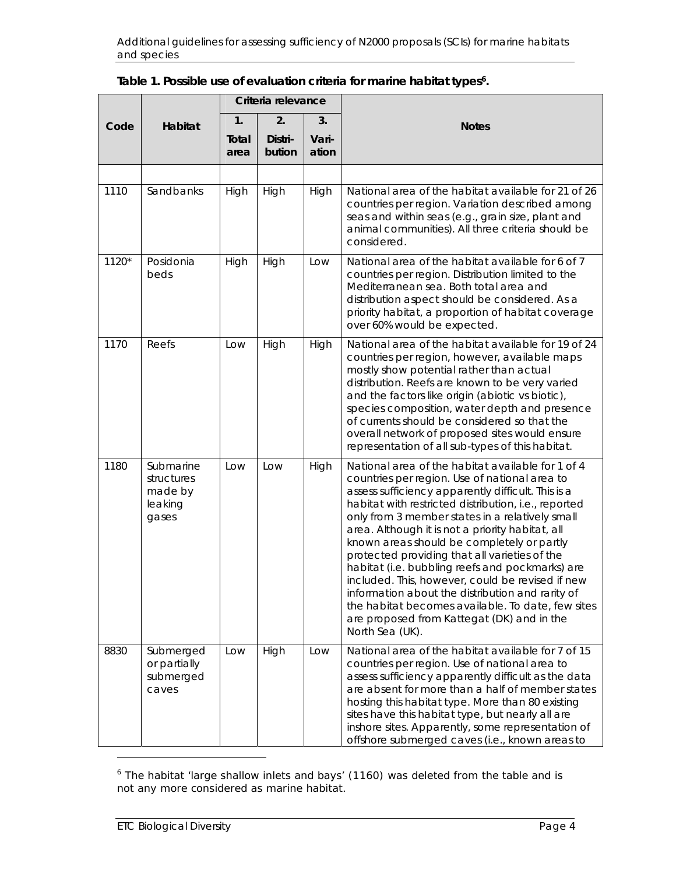|       |                                                        |               | Criteria relevance |                |                                                                                                                                                                                                                                                                                                                                                                                                                                                                                                                                                                                                                                                                                                         |
|-------|--------------------------------------------------------|---------------|--------------------|----------------|---------------------------------------------------------------------------------------------------------------------------------------------------------------------------------------------------------------------------------------------------------------------------------------------------------------------------------------------------------------------------------------------------------------------------------------------------------------------------------------------------------------------------------------------------------------------------------------------------------------------------------------------------------------------------------------------------------|
| Code  | Habitat                                                | 1.            | 2.                 | 3.             | <b>Notes</b>                                                                                                                                                                                                                                                                                                                                                                                                                                                                                                                                                                                                                                                                                            |
|       |                                                        | Total<br>area | Distri-<br>bution  | Vari-<br>ation |                                                                                                                                                                                                                                                                                                                                                                                                                                                                                                                                                                                                                                                                                                         |
|       |                                                        |               |                    |                |                                                                                                                                                                                                                                                                                                                                                                                                                                                                                                                                                                                                                                                                                                         |
| 1110  | Sandbanks                                              | High          | High               | High           | National area of the habitat available for 21 of 26<br>countries per region. Variation described among<br>seas and within seas (e.g., grain size, plant and<br>animal communities). All three criteria should be<br>considered.                                                                                                                                                                                                                                                                                                                                                                                                                                                                         |
| 1120* | Posidonia<br>beds                                      | High          | High               | Low            | National area of the habitat available for 6 of 7<br>countries per region. Distribution limited to the<br>Mediterranean sea. Both total area and<br>distribution aspect should be considered. As a<br>priority habitat, a proportion of habitat coverage<br>over 60% would be expected.                                                                                                                                                                                                                                                                                                                                                                                                                 |
| 1170  | Reefs                                                  | Low           | High               | High           | National area of the habitat available for 19 of 24<br>countries per region, however, available maps<br>mostly show potential rather than actual<br>distribution. Reefs are known to be very varied<br>and the factors like origin (abiotic vs biotic),<br>species composition, water depth and presence<br>of currents should be considered so that the<br>overall network of proposed sites would ensure<br>representation of all sub-types of this habitat.                                                                                                                                                                                                                                          |
| 1180  | Submarine<br>structures<br>made by<br>leaking<br>gases | Low           | Low                | High           | National area of the habitat available for 1 of 4<br>countries per region. Use of national area to<br>assess sufficiency apparently difficult. This is a<br>habitat with restricted distribution, i.e., reported<br>only from 3 member states in a relatively small<br>area. Although it is not a priority habitat, all<br>known areas should be completely or partly<br>protected providing that all varieties of the<br>habitat (i.e. bubbling reefs and pockmarks) are<br>included. This, however, could be revised if new<br>information about the distribution and rarity of<br>the habitat becomes available. To date, few sites<br>are proposed from Kattegat (DK) and in the<br>North Sea (UK). |
| 8830  | Submerged<br>or partially<br>submerged<br>caves        | Low           | High               | Low            | National area of the habitat available for 7 of 15<br>countries per region. Use of national area to<br>assess sufficiency apparently difficult as the data<br>are absent for more than a half of member states<br>hosting this habitat type. More than 80 existing<br>sites have this habitat type, but nearly all are<br>inshore sites. Apparently, some representation of<br>offshore submerged caves (i.e., known areas to                                                                                                                                                                                                                                                                           |

| Table 1. Possible use of evaluation criteria for marine habitat types <sup>6</sup> . |  |
|--------------------------------------------------------------------------------------|--|
|--------------------------------------------------------------------------------------|--|

 $\overline{a}$ 

 $6$  The habitat 'large shallow inlets and bays' (1160) was deleted from the table and is not any more considered as marine habitat.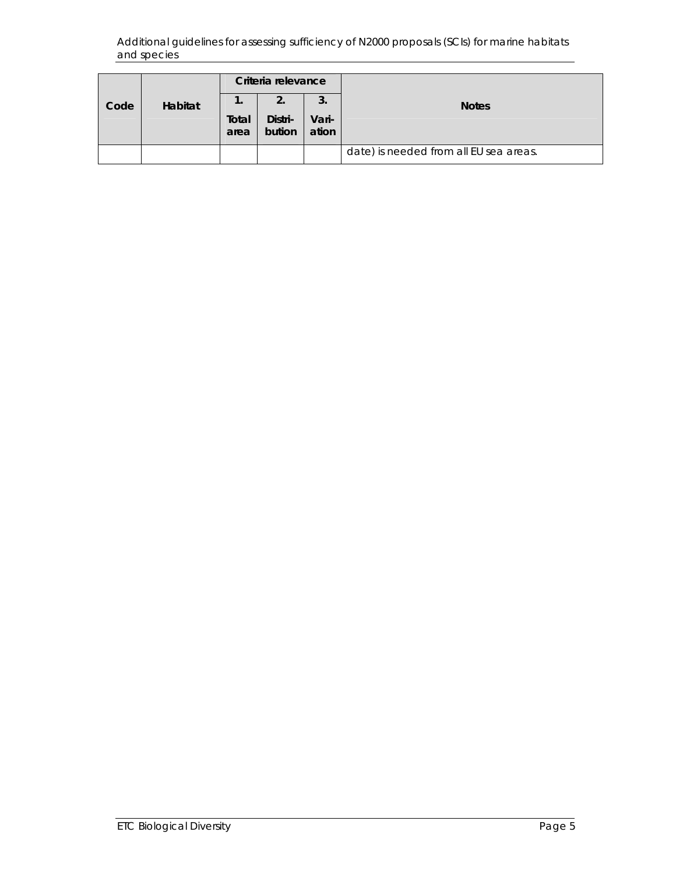|      |                |               | Criteria relevance |                       |                                        |  |  |  |  |
|------|----------------|---------------|--------------------|-----------------------|----------------------------------------|--|--|--|--|
| Code | <b>Habitat</b> | Total<br>area | Distri-<br>bution  | -3.<br>Vari-<br>ation | <b>Notes</b>                           |  |  |  |  |
|      |                |               |                    |                       | date) is needed from all EU sea areas. |  |  |  |  |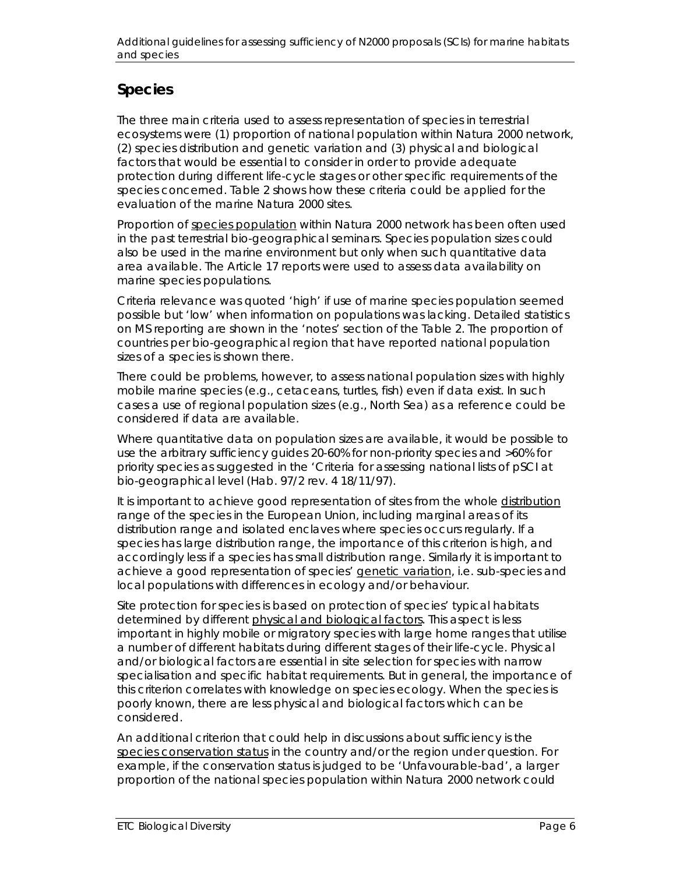# **Species**

The three main criteria used to assess representation of species in terrestrial ecosystems were (1) proportion of national population within Natura 2000 network, (2) species distribution and genetic variation and (3) physical and biological factors that would be essential to consider in order to provide adequate protection during different life-cycle stages or other specific requirements of the species concerned. Table 2 shows how these criteria could be applied for the evaluation of the marine Natura 2000 sites.

Proportion of species population within Natura 2000 network has been often used in the past terrestrial bio-geographical seminars. Species population sizes could also be used in the marine environment but only when such quantitative data area available. The Article 17 reports were used to assess data availability on marine species populations.

Criteria relevance was quoted 'high' if use of marine species population seemed possible but 'low' when information on populations was lacking. Detailed statistics on MS reporting are shown in the 'notes' section of the Table 2. The proportion of countries per bio-geographical region that have reported national population sizes of a species is shown there.

There could be problems, however, to assess national population sizes with highly mobile marine species (e.g., cetaceans, turtles, fish) even if data exist. In such cases a use of regional population sizes (e.g., North Sea) as a reference could be considered if data are available.

Where quantitative data on population sizes are available, it would be possible to use the arbitrary sufficiency guides 20-60% for non-priority species and >60% for priority species as suggested in the 'Criteria for assessing national lists of pSCI at bio-geographical level (Hab. 97/2 rev. 4 18/11/97).

It is important to achieve good representation of sites from the whole distribution range of the species in the European Union, including marginal areas of its distribution range and isolated enclaves where species occurs regularly. If a species has large distribution range, the importance of this criterion is high, and accordingly less if a species has small distribution range. Similarly it is important to achieve a good representation of species' genetic variation, i.e. sub-species and local populations with differences in ecology and/or behaviour.

Site protection for species is based on protection of species' typical habitats determined by different physical and biological factors. This aspect is less important in highly mobile or migratory species with large home ranges that utilise a number of different habitats during different stages of their life-cycle. Physical and/or biological factors are essential in site selection for species with narrow specialisation and specific habitat requirements. But in general, the importance of this criterion correlates with knowledge on species ecology. When the species is poorly known, there are less physical and biological factors which can be considered.

An additional criterion that could help in discussions about sufficiency is the species conservation status in the country and/or the region under question. For example, if the conservation status is judged to be 'Unfavourable-bad', a larger proportion of the national species population within Natura 2000 network could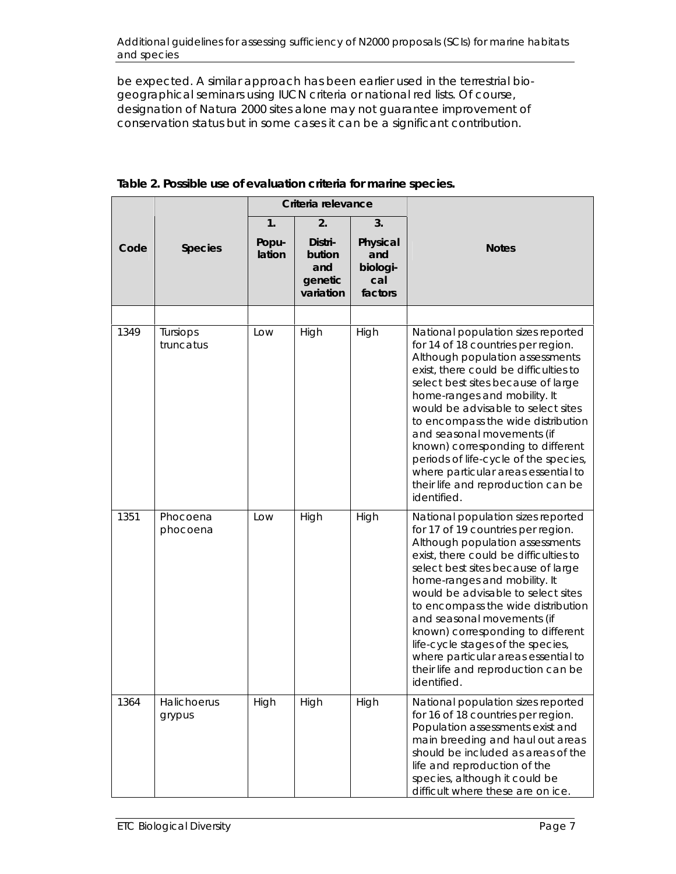be expected. A similar approach has been earlier used in the terrestrial biogeographical seminars using IUCN criteria or national red lists. Of course, designation of Natura 2000 sites alone may not guarantee improvement of conservation status but in some cases it can be a significant contribution.

|      |                       |                 | Criteria relevance       |                             |                                                                                                                                                                                                                                                                                                                                                                                                                                                                                                                |
|------|-----------------------|-----------------|--------------------------|-----------------------------|----------------------------------------------------------------------------------------------------------------------------------------------------------------------------------------------------------------------------------------------------------------------------------------------------------------------------------------------------------------------------------------------------------------------------------------------------------------------------------------------------------------|
|      |                       | 1.              | 2 <sub>1</sub>           | 3.                          |                                                                                                                                                                                                                                                                                                                                                                                                                                                                                                                |
| Code | <b>Species</b>        | Popu-<br>lation | Distri-<br>bution<br>and | Physical<br>and<br>biologi- | <b>Notes</b>                                                                                                                                                                                                                                                                                                                                                                                                                                                                                                   |
|      |                       |                 | genetic<br>variation     | cal<br>factors              |                                                                                                                                                                                                                                                                                                                                                                                                                                                                                                                |
|      |                       |                 |                          |                             |                                                                                                                                                                                                                                                                                                                                                                                                                                                                                                                |
| 1349 | Tursiops<br>truncatus | Low             | High                     | High                        | National population sizes reported<br>for 14 of 18 countries per region.<br>Although population assessments<br>exist, there could be difficulties to<br>select best sites because of large<br>home-ranges and mobility. It<br>would be advisable to select sites<br>to encompass the wide distribution<br>and seasonal movements (if<br>known) corresponding to different<br>periods of life-cycle of the species,<br>where particular areas essential to<br>their life and reproduction can be<br>identified. |
| 1351 | Phocoena<br>phocoena  | Low             | High                     | High                        | National population sizes reported<br>for 17 of 19 countries per region.<br>Although population assessments<br>exist, there could be difficulties to<br>select best sites because of large<br>home-ranges and mobility. It<br>would be advisable to select sites<br>to encompass the wide distribution<br>and seasonal movements (if<br>known) corresponding to different<br>life-cycle stages of the species,<br>where particular areas essential to<br>their life and reproduction can be<br>identified.     |
| 1364 | Halichoerus<br>grypus | High            | High                     | High                        | National population sizes reported<br>for 16 of 18 countries per region.<br>Population assessments exist and<br>main breeding and haul out areas<br>should be included as areas of the<br>life and reproduction of the<br>species, although it could be<br>difficult where these are on ice.                                                                                                                                                                                                                   |

**Table 2. Possible use of evaluation criteria for marine species.**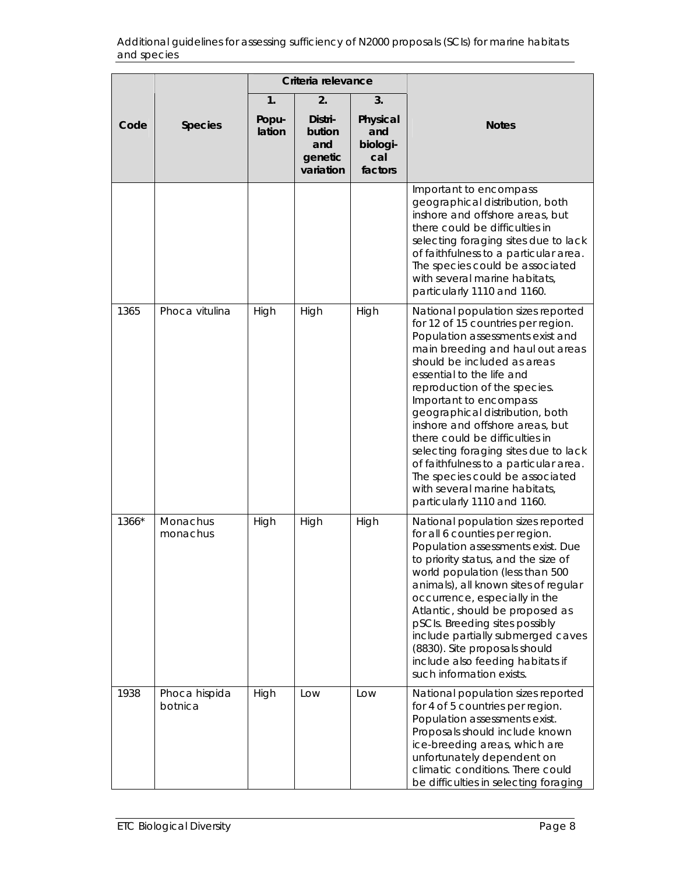|       |                          |                 | Criteria relevance                               |                |                                                                                                                                                                                                                                                                                                                                                                                                                                                                                                                                                                    |
|-------|--------------------------|-----------------|--------------------------------------------------|----------------|--------------------------------------------------------------------------------------------------------------------------------------------------------------------------------------------------------------------------------------------------------------------------------------------------------------------------------------------------------------------------------------------------------------------------------------------------------------------------------------------------------------------------------------------------------------------|
|       |                          | 1.              | 2.                                               | 3.<br>Physical |                                                                                                                                                                                                                                                                                                                                                                                                                                                                                                                                                                    |
| Code  | <b>Species</b>           | Popu-<br>lation | Distri-<br>bution<br>and<br>genetic<br>variation |                | <b>Notes</b>                                                                                                                                                                                                                                                                                                                                                                                                                                                                                                                                                       |
|       |                          |                 |                                                  |                | Important to encompass<br>geographical distribution, both<br>inshore and offshore areas, but<br>there could be difficulties in<br>selecting foraging sites due to lack<br>of faithfulness to a particular area.<br>The species could be associated<br>with several marine habitats,<br>particularly 1110 and 1160.                                                                                                                                                                                                                                                 |
| 1365  | Phoca vitulina           | High            | High                                             | High           | National population sizes reported<br>for 12 of 15 countries per region.<br>Population assessments exist and<br>main breeding and haul out areas<br>should be included as areas<br>essential to the life and<br>reproduction of the species.<br>Important to encompass<br>geographical distribution, both<br>inshore and offshore areas, but<br>there could be difficulties in<br>selecting foraging sites due to lack<br>of faithfulness to a particular area.<br>The species could be associated<br>with several marine habitats,<br>particularly 1110 and 1160. |
| 1366* | Monachus<br>monachus     | High            | High                                             | High           | National population sizes reported<br>for all 6 counties per region.<br>Population assessments exist. Due<br>to priority status, and the size of<br>world population (less than 500<br>animals), all known sites of regular<br>occurrence, especially in the<br>Atlantic, should be proposed as<br>pSCIs. Breeding sites possibly<br>include partially submerged caves<br>(8830). Site proposals should<br>include also feeding habitats if<br>such information exists.                                                                                            |
| 1938  | Phoca hispida<br>botnica | High            | Low                                              | Low            | National population sizes reported<br>for 4 of 5 countries per region.<br>Population assessments exist.<br>Proposals should include known<br>ice-breeding areas, which are<br>unfortunately dependent on<br>climatic conditions. There could<br>be difficulties in selecting foraging                                                                                                                                                                                                                                                                              |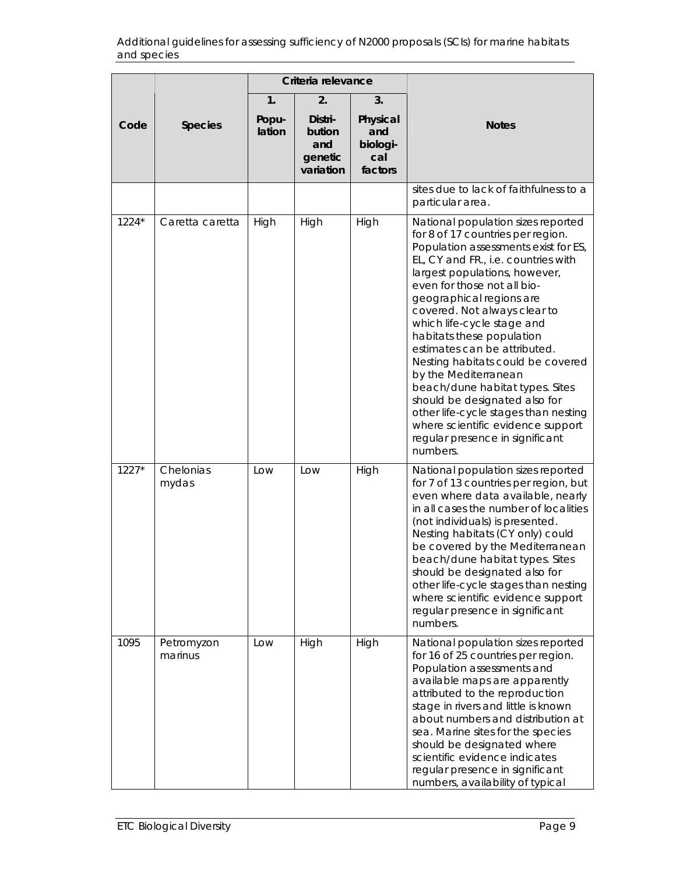|       |                       |                                                                     | Criteria relevance |                                               |                                                                                                                                                                                                                                                                                                                                                                                                                                                                                                                                                                                                                                            |  |  |  |  |
|-------|-----------------------|---------------------------------------------------------------------|--------------------|-----------------------------------------------|--------------------------------------------------------------------------------------------------------------------------------------------------------------------------------------------------------------------------------------------------------------------------------------------------------------------------------------------------------------------------------------------------------------------------------------------------------------------------------------------------------------------------------------------------------------------------------------------------------------------------------------------|--|--|--|--|
|       |                       | $\mathbf{1}$ .                                                      | 2.                 | 3.                                            |                                                                                                                                                                                                                                                                                                                                                                                                                                                                                                                                                                                                                                            |  |  |  |  |
| Code  | <b>Species</b>        | Distri-<br>Popu-<br>lation<br>bution<br>and<br>genetic<br>variation |                    | Physical<br>and<br>biologi-<br>cal<br>factors | <b>Notes</b>                                                                                                                                                                                                                                                                                                                                                                                                                                                                                                                                                                                                                               |  |  |  |  |
|       |                       |                                                                     |                    |                                               | sites due to lack of faithfulness to a<br>particular area.                                                                                                                                                                                                                                                                                                                                                                                                                                                                                                                                                                                 |  |  |  |  |
| 1224* | Caretta caretta       | High                                                                | High               | High                                          | National population sizes reported<br>for 8 of 17 countries per region.<br>Population assessments exist for ES,<br>EL, CY and FR., i.e. countries with<br>largest populations, however,<br>even for those not all bio-<br>geographical regions are<br>covered. Not always clear to<br>which life-cycle stage and<br>habitats these population<br>estimates can be attributed.<br>Nesting habitats could be covered<br>by the Mediterranean<br>beach/dune habitat types. Sites<br>should be designated also for<br>other life-cycle stages than nesting<br>where scientific evidence support<br>regular presence in significant<br>numbers. |  |  |  |  |
| 1227* | Chelonias<br>mydas    | Low                                                                 | Low                | High                                          | National population sizes reported<br>for 7 of 13 countries per region, but<br>even where data available, nearly<br>in all cases the number of localities<br>(not individuals) is presented.<br>Nesting habitats (CY only) could<br>be covered by the Mediterranean<br>beach/dune habitat types. Sites<br>should be designated also for<br>other life-cycle stages than nesting<br>where scientific evidence support<br>regular presence in significant<br>numbers.                                                                                                                                                                        |  |  |  |  |
| 1095  | Petromyzon<br>marinus | Low                                                                 | High               | High                                          | National population sizes reported<br>for 16 of 25 countries per region.<br>Population assessments and<br>available maps are apparently<br>attributed to the reproduction<br>stage in rivers and little is known<br>about numbers and distribution at<br>sea. Marine sites for the species<br>should be designated where<br>scientific evidence indicates<br>regular presence in significant<br>numbers, availability of typical                                                                                                                                                                                                           |  |  |  |  |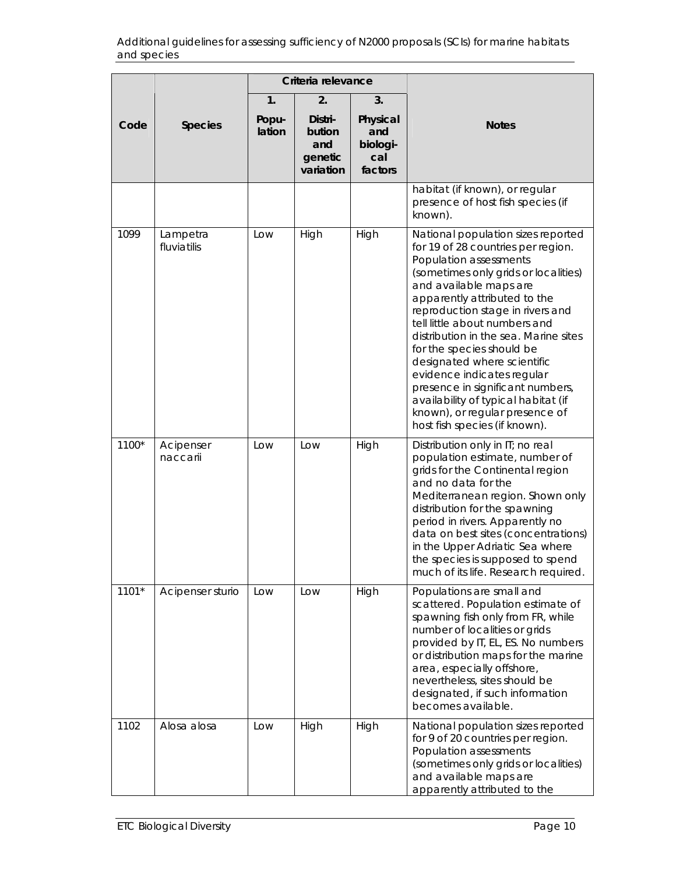|         |                         |                 | Criteria relevance                               |                                               |                                                                                                                                                                                                                                                                                                                                                                                                                                                                                                                                                            |
|---------|-------------------------|-----------------|--------------------------------------------------|-----------------------------------------------|------------------------------------------------------------------------------------------------------------------------------------------------------------------------------------------------------------------------------------------------------------------------------------------------------------------------------------------------------------------------------------------------------------------------------------------------------------------------------------------------------------------------------------------------------------|
|         |                         | 1.              | 2.                                               | 3.                                            |                                                                                                                                                                                                                                                                                                                                                                                                                                                                                                                                                            |
| Code    | <b>Species</b>          | Popu-<br>lation | Distri-<br>bution<br>and<br>genetic<br>variation | Physical<br>and<br>biologi-<br>cal<br>factors | <b>Notes</b>                                                                                                                                                                                                                                                                                                                                                                                                                                                                                                                                               |
|         |                         |                 |                                                  |                                               | habitat (if known), or regular<br>presence of host fish species (if<br>known).                                                                                                                                                                                                                                                                                                                                                                                                                                                                             |
| 1099    | Lampetra<br>fluviatilis | Low             | High                                             | High                                          | National population sizes reported<br>for 19 of 28 countries per region.<br>Population assessments<br>(sometimes only grids or localities)<br>and available maps are<br>apparently attributed to the<br>reproduction stage in rivers and<br>tell little about numbers and<br>distribution in the sea. Marine sites<br>for the species should be<br>designated where scientific<br>evidence indicates regular<br>presence in significant numbers,<br>availability of typical habitat (if<br>known), or regular presence of<br>host fish species (if known). |
| 1100*   | Acipenser<br>naccarii   | Low             | Low                                              | High                                          | Distribution only in IT; no real<br>population estimate, number of<br>grids for the Continental region<br>and no data for the<br>Mediterranean region. Shown only<br>distribution for the spawning<br>period in rivers. Apparently no<br>data on best sites (concentrations)<br>in the Upper Adriatic Sea where<br>the species is supposed to spend<br>much of its life. Research required.                                                                                                                                                                |
| $1101*$ | Acipenser sturio        | Low             | Low                                              | High                                          | Populations are small and<br>scattered. Population estimate of<br>spawning fish only from FR, while<br>number of localities or grids<br>provided by IT, EL, ES. No numbers<br>or distribution maps for the marine<br>area, especially offshore,<br>nevertheless, sites should be<br>designated, if such information<br>becomes available.                                                                                                                                                                                                                  |
| 1102    | Alosa alosa             | Low             | High                                             | High                                          | National population sizes reported<br>for 9 of 20 countries per region.<br>Population assessments<br>(sometimes only grids or localities)<br>and available maps are<br>apparently attributed to the                                                                                                                                                                                                                                                                                                                                                        |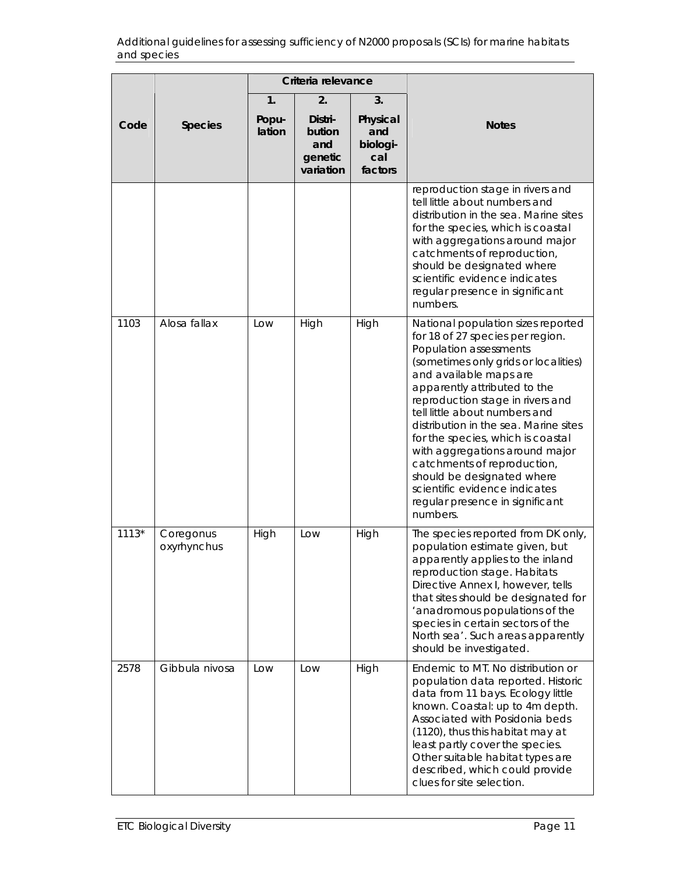|         |                          |                                                                     | Criteria relevance |                                               |                                                                                                                                                                                                                                                                                                                                                                                                                                                                                                                                      |  |  |  |  |  |
|---------|--------------------------|---------------------------------------------------------------------|--------------------|-----------------------------------------------|--------------------------------------------------------------------------------------------------------------------------------------------------------------------------------------------------------------------------------------------------------------------------------------------------------------------------------------------------------------------------------------------------------------------------------------------------------------------------------------------------------------------------------------|--|--|--|--|--|
|         |                          | 1.                                                                  | 2.                 | 3.                                            |                                                                                                                                                                                                                                                                                                                                                                                                                                                                                                                                      |  |  |  |  |  |
| Code    | <b>Species</b>           | Distri-<br>Popu-<br>lation<br>bution<br>and<br>genetic<br>variation |                    | Physical<br>and<br>biologi-<br>cal<br>factors | <b>Notes</b>                                                                                                                                                                                                                                                                                                                                                                                                                                                                                                                         |  |  |  |  |  |
|         |                          |                                                                     |                    |                                               | reproduction stage in rivers and<br>tell little about numbers and<br>distribution in the sea. Marine sites<br>for the species, which is coastal<br>with aggregations around major<br>catchments of reproduction,<br>should be designated where<br>scientific evidence indicates<br>regular presence in significant<br>numbers.                                                                                                                                                                                                       |  |  |  |  |  |
| 1103    | Alosa fallax             | Low                                                                 | High               | High                                          | National population sizes reported<br>for 18 of 27 species per region.<br>Population assessments<br>(sometimes only grids or localities)<br>and available maps are<br>apparently attributed to the<br>reproduction stage in rivers and<br>tell little about numbers and<br>distribution in the sea. Marine sites<br>for the species, which is coastal<br>with aggregations around major<br>catchments of reproduction,<br>should be designated where<br>scientific evidence indicates<br>regular presence in significant<br>numbers. |  |  |  |  |  |
| $1113*$ | Coregonus<br>oxyrhynchus | High                                                                | Low                | High                                          | The species reported from DK only,<br>population estimate given, but<br>apparently applies to the inland<br>reproduction stage. Habitats<br>Directive Annex I, however, tells<br>that sites should be designated for<br>'anadromous populations of the<br>species in certain sectors of the<br>North sea'. Such areas apparently<br>should be investigated.                                                                                                                                                                          |  |  |  |  |  |
| 2578    | Gibbula nivosa           | Low                                                                 | Low                | High                                          | Endemic to MT. No distribution or<br>population data reported. Historic<br>data from 11 bays. Ecology little<br>known. Coastal: up to 4m depth.<br>Associated with Posidonia beds<br>(1120), thus this habitat may at<br>least partly cover the species.<br>Other suitable habitat types are<br>described, which could provide<br>clues for site selection.                                                                                                                                                                          |  |  |  |  |  |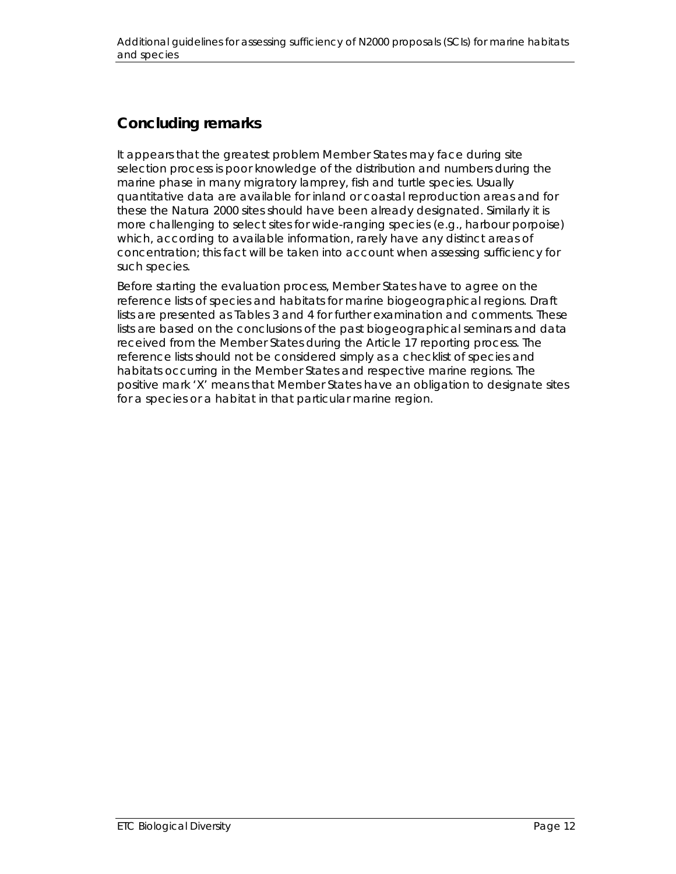## **Concluding remarks**

It appears that the greatest problem Member States may face during site selection process is poor knowledge of the distribution and numbers during the marine phase in many migratory lamprey, fish and turtle species. Usually quantitative data are available for inland or coastal reproduction areas and for these the Natura 2000 sites should have been already designated. Similarly it is more challenging to select sites for wide-ranging species (e.g., harbour porpoise) which, according to available information, rarely have any distinct areas of concentration; this fact will be taken into account when assessing sufficiency for such species.

Before starting the evaluation process, Member States have to agree on the reference lists of species and habitats for marine biogeographical regions. Draft lists are presented as Tables 3 and 4 for further examination and comments. These lists are based on the conclusions of the past biogeographical seminars and data received from the Member States during the Article 17 reporting process. The reference lists should not be considered simply as a checklist of species and habitats occurring in the Member States and respective marine regions. The positive mark 'X' means that Member States have an obligation to designate sites for a species or a habitat in that particular marine region.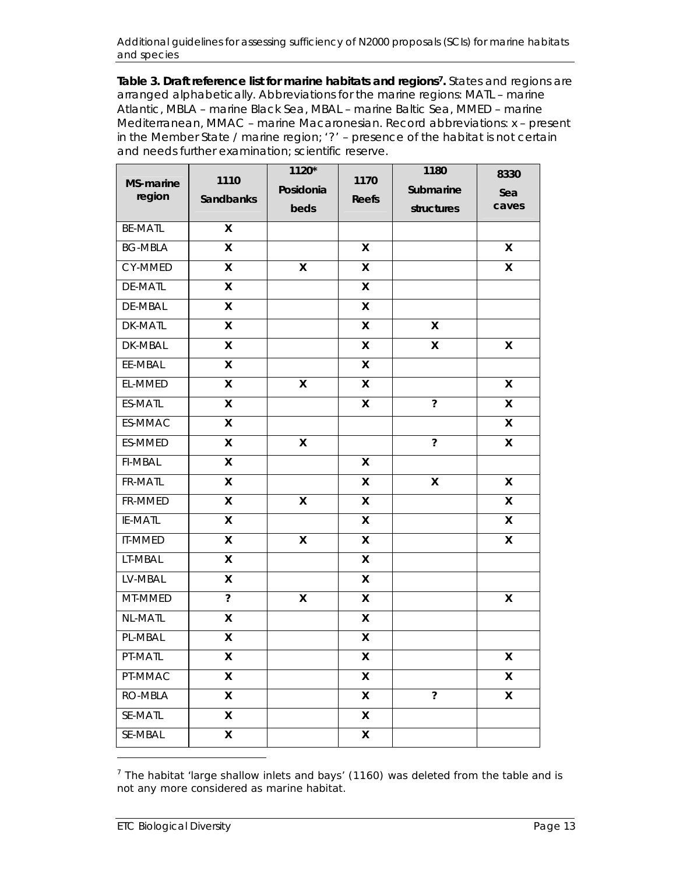Table 3. Draft reference list for marine habitats and regions<sup>7</sup>. States and regions are arranged alphabetically. Abbreviations for the marine regions: MATL – marine Atlantic, MBLA – marine Black Sea, MBAL – marine Baltic Sea, MMED – marine Mediterranean, MMAC – marine Macaronesian. Record abbreviations: x – present in the Member State / marine region; '?' – presence of the habitat is not certain and needs further examination; scientific reserve.

| MS-marine<br>region | 1110<br><b>Sandbanks</b> | 1120*<br>Posidonia<br>beds | 1170<br>Reefs           | 1180<br>Submarine<br>structures | 8330<br>Sea<br>caves |
|---------------------|--------------------------|----------------------------|-------------------------|---------------------------------|----------------------|
| <b>BE-MATL</b>      | X                        |                            |                         |                                 |                      |
| <b>BG-MBLA</b>      | $\mathsf{X}$             |                            | $\pmb{\times}$          |                                 | $\mathsf{x}$         |
| CY-MMED             | X                        | X                          | X                       |                                 | X                    |
| <b>DE-MATL</b>      | $\mathsf{x}$             |                            | $\mathsf{x}$            |                                 |                      |
| DE-MBAL             | X                        |                            | X                       |                                 |                      |
| <b>DK-MATL</b>      | X                        |                            | X                       | X                               |                      |
| DK-MBAL             | X                        |                            | $\pmb{\times}$          | X                               | X                    |
| EE-MBAL             | X                        |                            | $\mathsf{x}$            |                                 |                      |
| EL-MMED             | $\mathsf{x}$             | X                          | $\mathsf{x}$            |                                 | $\mathsf{x}$         |
| ES-MATL             | X                        |                            | X                       | $\ddot{\phantom{0}}$            | X                    |
| ES-MMAC             | X                        |                            |                         |                                 | $\mathsf{x}$         |
| ES-MMED             | X                        | X                          |                         | $\overline{\phantom{a}}$        | X                    |
| <b>FI-MBAL</b>      | $\mathsf{X}$             |                            | X                       |                                 |                      |
| FR-MATL             | X                        |                            | X                       | X                               | $\mathsf{x}$         |
| FR-MMED             | X                        | X                          | $\mathsf{x}$            |                                 | $\mathsf{x}$         |
| IE-MATL             | X                        |                            | X                       |                                 | X                    |
| <b>IT-MMED</b>      | X                        | $\pmb{\mathsf{X}}$         | $\mathsf{x}$            |                                 | $\mathsf{x}$         |
| LT-MBAL             | X                        |                            | X                       |                                 |                      |
| LV-MBAL             | X                        |                            | $\pmb{\times}$          |                                 |                      |
| MT-MMED             | $\overline{\mathbf{c}}$  | $\pmb{\times}$             | $\mathsf{x}$            |                                 | $\mathsf{x}$         |
| <b>NL-MATL</b>      | X                        |                            | X                       |                                 |                      |
| PL-MBAL             | X                        |                            | $\pmb{\mathsf{X}}$      |                                 |                      |
| PT-MATL             | Χ                        |                            | X                       |                                 | X                    |
| PT-MMAC             | $\mathsf{x}$             |                            | $\mathsf{x}$            |                                 | $\mathsf{x}$         |
| RO-MBLA             | X                        |                            | $\pmb{\mathsf{X}}$      | $\overline{\phantom{a}}$        | $\pmb{\mathsf{X}}$   |
| SE-MATL             | $\overline{\mathsf{x}}$  |                            | $\overline{\mathsf{x}}$ |                                 |                      |
| SE-MBAL             | X                        |                            | $\pmb{\mathsf{X}}$      |                                 |                      |

<sup>7</sup> The habitat 'large shallow inlets and bays' (1160) was deleted from the table and is not any more considered as marine habitat.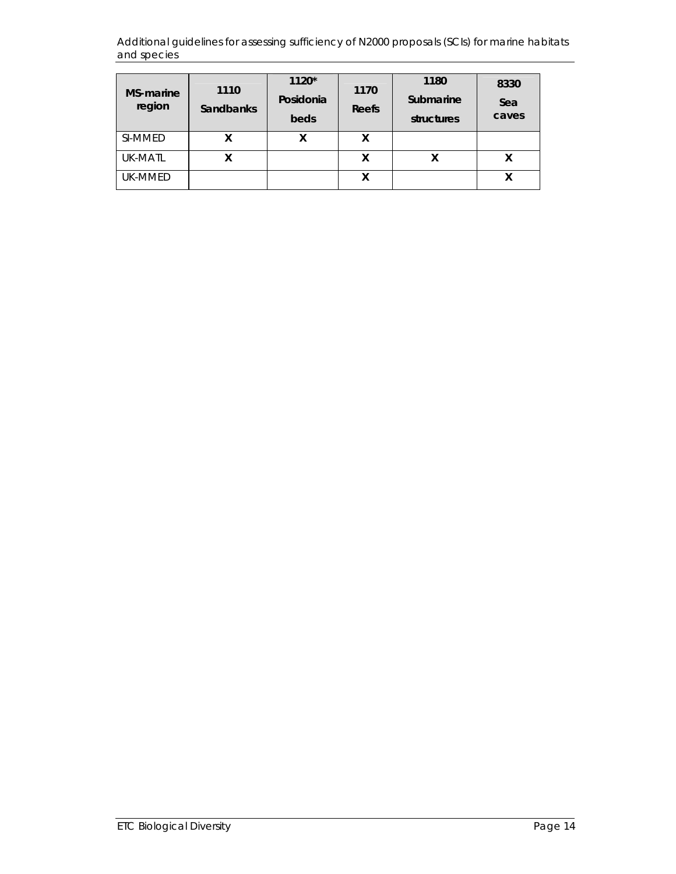| <b>MS-marine</b><br>region | 1110<br><b>Sandbanks</b> | $1120*$<br>Posidonia<br>beds | 1170<br>Reefs | 1180<br>Submarine<br>structures | 8330<br>Sea<br>caves |
|----------------------------|--------------------------|------------------------------|---------------|---------------------------------|----------------------|
| SI-MMED                    |                          | χ                            | x             |                                 |                      |
| <b>UK-MATL</b>             |                          |                              | x             |                                 |                      |
| UK-MMED                    |                          |                              |               |                                 |                      |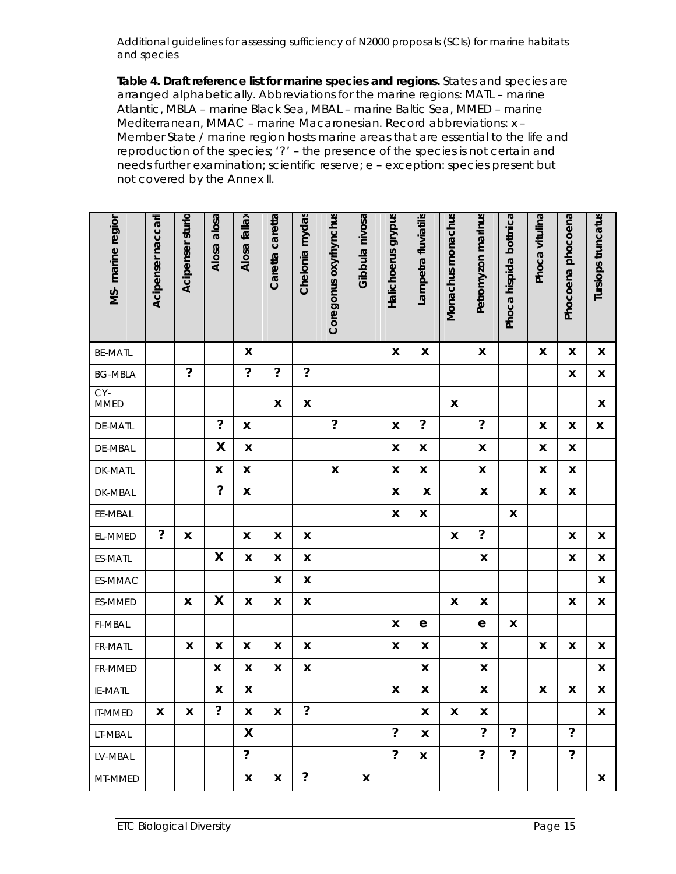**Table 4. Draft reference list for marine species and regions.** States and species are arranged alphabetically. Abbreviations for the marine regions: MATL – marine Atlantic, MBLA – marine Black Sea, MBAL – marine Baltic Sea, MMED – marine Mediterranean, MMAC – marine Macaronesian. Record abbreviations: x – Member State / marine region hosts marine areas that are essential to the life and reproduction of the species; '?' – the presence of the species is not certain and needs further examination; scientific reserve; e – exception: species present but not covered by the Annex II.

|                      |                    | Acipenser sturio     | Alosa alosa          | Alosa fallax       | Caretta caretta | Chelonia mydas            |                       | Gibbula nivosa     |                          |                      |                    |                          |                        | Phoca vitulina     |                          |                           |
|----------------------|--------------------|----------------------|----------------------|--------------------|-----------------|---------------------------|-----------------------|--------------------|--------------------------|----------------------|--------------------|--------------------------|------------------------|--------------------|--------------------------|---------------------------|
| MS-marine region     | Acipenser naccarii |                      |                      |                    |                 |                           | Coregonus oxyrhynchus |                    | Halichoerus grypus       | Lampetra fluviatilis | Monachus monachus  | Petromyzon marinus       | Phoca hispida bottnica |                    | Phocoena phocoena        | Tursiops truncatus        |
| <b>BE-MATL</b>       |                    |                      |                      | X                  |                 |                           |                       |                    | $\pmb{\mathsf{x}}$       | $\pmb{\mathsf{X}}$   |                    | $\pmb{\mathsf{X}}$       |                        | X                  | $\pmb{\mathsf{X}}$       | X                         |
| <b>BG-MBLA</b>       |                    | $\ddot{\phantom{0}}$ |                      | $\ddot{?}$         | $\ddot{?}$      | $\ddot{?}$                |                       |                    |                          |                      |                    |                          |                        |                    | $\pmb{\mathsf{X}}$       | $\pmb{\mathsf{X}}$        |
| $CY-$<br><b>MMED</b> |                    |                      |                      |                    | X               | $\pmb{\mathsf{X}}$        |                       |                    |                          |                      | $\pmb{\mathsf{X}}$ |                          |                        |                    |                          | X                         |
| <b>DE-MATL</b>       |                    |                      | $\boldsymbol{?}$     | $\pmb{\mathsf{x}}$ |                 |                           | $\ddot{?}$            |                    | $\pmb{\mathsf{x}}$       | $\ddot{?}$           |                    | $\ddot{\phantom{0}}$     |                        | X                  | $\pmb{\mathsf{x}}$       | $\pmb{\mathsf{X}}$        |
| DE-MBAL              |                    |                      | X                    | $\pmb{\mathsf{X}}$ |                 |                           |                       |                    | $\pmb{\mathsf{x}}$       | $\mathbf{x}$         |                    | $\pmb{\mathsf{x}}$       |                        | $\pmb{\mathsf{X}}$ | X                        |                           |
| DK-MATL              |                    |                      | $\pmb{\mathsf{X}}$   | X                  |                 |                           | $\pmb{\mathsf{X}}$    |                    | $\pmb{\mathsf{x}}$       | $\pmb{\mathsf{X}}$   |                    | $\pmb{\mathsf{x}}$       |                        | X                  | $\pmb{\mathsf{X}}$       |                           |
| DK-MBAL              |                    |                      | $\ddot{\phantom{0}}$ | $\pmb{\mathsf{X}}$ |                 |                           |                       |                    | $\pmb{\mathsf{x}}$       | $\pmb{\mathsf{X}}$   |                    | $\pmb{\mathsf{x}}$       |                        | X                  | $\pmb{\mathsf{X}}$       |                           |
| EE-MBAL              |                    |                      |                      |                    |                 |                           |                       |                    | $\pmb{\mathsf{X}}$       | $\mathbf x$          |                    |                          | $\pmb{\mathsf{X}}$     |                    |                          |                           |
| EL-MMED              | $\ddot{?}$         | X                    |                      | X                  | X               | $\boldsymbol{\mathsf{X}}$ |                       |                    |                          |                      | $\pmb{\mathsf{X}}$ | $\ddot{?}$               |                        |                    | $\pmb{\mathsf{X}}$       | X                         |
| ES-MATL              |                    |                      | $\pmb{\mathsf{X}}$   | $\pmb{\mathsf{X}}$ | X               | X                         |                       |                    |                          |                      |                    | X                        |                        |                    | X                        | $\pmb{\mathsf{X}}$        |
| ES-MMAC              |                    |                      |                      |                    | X               | $\pmb{\mathsf{X}}$        |                       |                    |                          |                      |                    |                          |                        |                    |                          | $\pmb{\mathsf{X}}$        |
| ES-MMED              |                    | $\pmb{\mathsf{X}}$   | $\pmb{\mathsf{X}}$   | $\pmb{\mathsf{X}}$ | X               | $\pmb{\mathsf{X}}$        |                       |                    |                          |                      | $\pmb{\mathsf{X}}$ | X                        |                        |                    | $\pmb{\mathsf{X}}$       | X                         |
| <b>FI-MBAL</b>       |                    |                      |                      |                    |                 |                           |                       |                    | $\pmb{\mathsf{X}}$       | e                    |                    | ${\bf e}$                | X                      |                    |                          |                           |
| FR-MATL              |                    | $\pmb{\mathsf{x}}$   | $\pmb{\mathsf{x}}$   | $\pmb{\mathsf{X}}$ | X               | $\pmb{\mathsf{X}}$        |                       |                    | $\pmb{\mathsf{x}}$       | $\pmb{\mathsf{x}}$   |                    | $\pmb{\mathsf{x}}$       |                        | $\pmb{\mathsf{X}}$ | $\pmb{\mathsf{x}}$       | $\pmb{\mathsf{X}}$        |
| FR-MMED              |                    |                      | X                    | X                  | X               | $\pmb{\mathsf{X}}$        |                       |                    |                          | $\pmb{\mathsf{X}}$   |                    | $\pmb{\mathsf{x}}$       |                        |                    |                          | $\boldsymbol{\mathsf{x}}$ |
| IE-MATL              |                    |                      | X                    | $\pmb{\mathsf{X}}$ |                 |                           |                       |                    | $\pmb{\mathsf{X}}$       | $\pmb{\mathsf{x}}$   |                    | X                        |                        | X                  | $\pmb{\mathsf{x}}$       | $\pmb{\mathsf{X}}$        |
| <b>IT-MMED</b>       | X                  | X                    | $\ddot{?}$           | X                  | X               | ?                         |                       |                    |                          | X                    | X                  | X                        |                        |                    |                          | X                         |
| LT-MBAL              |                    |                      |                      | X                  |                 |                           |                       |                    | $\overline{?}$           | X                    |                    | $\overline{?}$           | $\overline{?}$         |                    | $\overline{?}$           |                           |
| LV-MBAL              |                    |                      |                      | $\overline{?}$     |                 |                           |                       |                    | $\overline{\mathcal{L}}$ | X                    |                    | $\overline{\mathcal{E}}$ | $\ddot{?}$             |                    | $\overline{\mathcal{E}}$ |                           |
| MT-MMED              |                    |                      |                      | X                  | X               | $\overline{\mathcal{E}}$  |                       | $\pmb{\mathsf{X}}$ |                          |                      |                    |                          |                        |                    |                          | X                         |